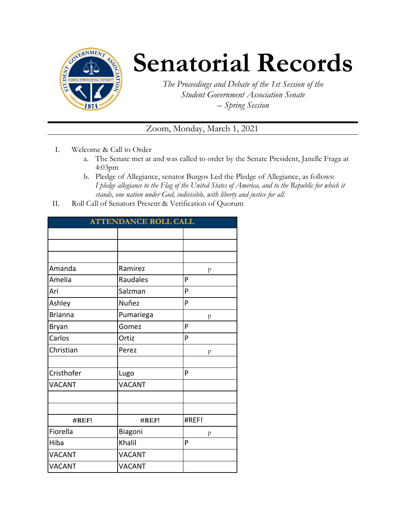

# **Senatorial Records**

*The Proceedings and Debate of the 1st Session of the Student Government Association Senate – Spring Session*

# Zoom, Monday, March 1, 2021

- I. Welcome & Call to Order
	- a. The Senate met at and was called to order by the Senate President, Janelle Fraga at 4:03pm
	- b. Pledge of Allegiance, senator Burgos Led the Pledge of Allegiance, as follows: *I pledge allegiance to the Flag of the United States of America, and to the Republic for which it stands, one nation under God, indivisible, with liberty and justice for all.*
- II. Roll Call of Senators Present & Verification of Quorum

| <b>ATTENDANCE ROLL CALL</b> |               |       |  |  |
|-----------------------------|---------------|-------|--|--|
|                             |               |       |  |  |
|                             |               |       |  |  |
|                             |               |       |  |  |
| Amanda                      | Ramirez       | p     |  |  |
| Amelia                      | Raudales      | P     |  |  |
| Ari                         | Salzman       | P     |  |  |
| Ashley                      | Nuñez         | P     |  |  |
| <b>Brianna</b>              | Pumariega     | p     |  |  |
| Bryan                       | Gomez         | P     |  |  |
| Carlos                      | Ortiz         | P     |  |  |
| Christian                   | Perez         | p     |  |  |
|                             |               |       |  |  |
| Cristhofer                  | Lugo          | P     |  |  |
| <b>VACANT</b>               | <b>VACANT</b> |       |  |  |
|                             |               |       |  |  |
|                             |               |       |  |  |
| #REF!                       | #REF!         | #REF! |  |  |
| Fiorella                    | Biagoni       | p     |  |  |
| Hiba                        | Khalil        | P     |  |  |
| <b>VACANT</b>               | <b>VACANT</b> |       |  |  |
| <b>VACANT</b>               | <b>VACANT</b> |       |  |  |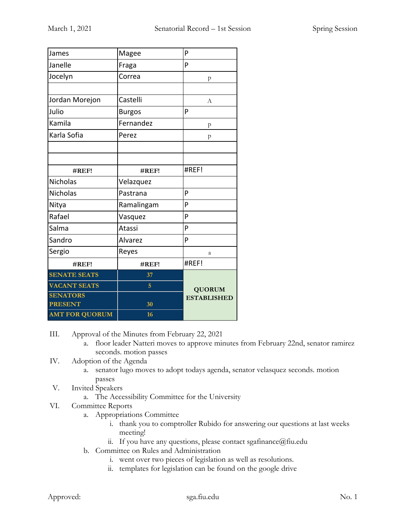| James                 | Magee         | P                  |
|-----------------------|---------------|--------------------|
| Janelle               | Fraga         | P                  |
| Jocelyn               | Correa        | p                  |
|                       |               |                    |
| Jordan Morejon        | Castelli      | A                  |
| Julio                 | <b>Burgos</b> | P                  |
| Kamila                | Fernandez     | p                  |
| Karla Sofia           | Perez         | p                  |
|                       |               |                    |
|                       |               |                    |
| #REF!                 | #REF!         | #REF!              |
| Nicholas              | Velazquez     |                    |
| <b>Nicholas</b>       | Pastrana      | P                  |
| Nitya                 | Ramalingam    | P                  |
| Rafael                | Vasquez       | P                  |
| Salma                 | Atassi        | P                  |
| Sandro                | Alvarez       | P                  |
| Sergio                | Reyes         | a                  |
| #REF!                 | #REF!         | #REF!              |
| <b>SENATE SEATS</b>   | 37            |                    |
| <b>VACANT SEATS</b>   | 5             | <b>QUORUM</b>      |
| <b>SENATORS</b>       |               | <b>ESTABLISHED</b> |
| <b>PRESENT</b>        | 30            |                    |
| <b>AMT FOR QUORUM</b> | 16            |                    |

III. Approval of the Minutes from February 22, 2021

- a. floor leader Natteri moves to approve minutes from February 22nd, senator ramirez seconds. motion passes
- IV. Adoption of the Agenda
	- a. senator lugo moves to adopt todays agenda, senator velasquez seconds. motion passes
- V. Invited Speakers
	- a. The Accessibility Committee for the University
- VI. Committee Reports
	- a. Appropriations Committee
		- i. thank you to comptroller Rubido for answering our questions at last weeks meeting!
		- ii. If you have any questions, please contact sgafinance  $@$  fiu.edu
	- b. Committee on Rules and Administration
		- i. went over two pieces of legislation as well as resolutions.
		- ii. templates for legislation can be found on the google drive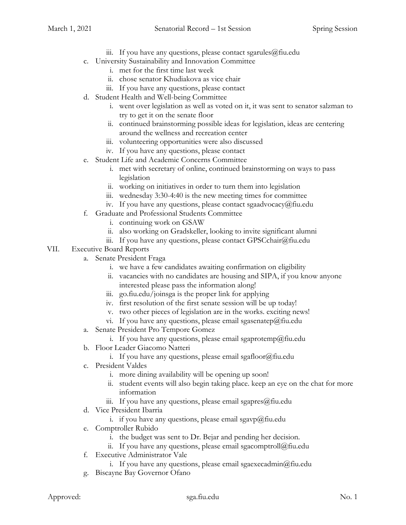- iii. If you have any questions, please contact sgarules@fiu.edu
- c. University Sustainability and Innovation Committee
	- i. met for the first time last week
	- ii. chose senator Khudiakova as vice chair
	- iii. If you have any questions, please contact
- d. Student Health and Well-being Committee
	- i. went over legislation as well as voted on it, it was sent to senator salzman to try to get it on the senate floor
	- ii. continued brainstorming possible ideas for legislation, ideas are centering around the wellness and recreation center
	- iii. volunteering opportunities were also discussed
	- iv. If you have any questions, please contact
- e. Student Life and Academic Concerns Committee
	- i. met with secretary of online, continued brainstorming on ways to pass legislation
	- ii. working on initiatives in order to turn them into legislation
	- iii. wednesday 3:30-4:40 is the new meeting times for committee
	- iv. If you have any questions, please contact sgaadvocacy@fiu.edu
- f. Graduate and Professional Students Committee
	- i. continuing work on GSAW
	- ii. also working on Gradskeller, looking to invite significant alumni
	- iii. If you have any questions, please contact GPSCchair@fiu.edu

## VII. Executive Board Reports

- a. Senate President Fraga
	- i. we have a few candidates awaiting confirmation on eligibility
	- ii. vacancies with no candidates are housing and SIPA, if you know anyone interested please pass the information along!
	- iii. go.fiu.edu/joinsga is the proper link for applying
	- iv. first resolution of the first senate session will be up today!
	- v. two other pieces of legislation are in the works. exciting news!
	- vi. If you have any questions, please email sgasenatep@fiu.edu
- a. Senate President Pro Tempore Gomez
	- i. If you have any questions, please email sgaprotemp@fiu.edu
- b. Floor Leader Giacomo Natteri
	- i. If you have any questions, please email sgafloor@fiu.edu
- c. President Valdes
	- i. more dining availability will be opening up soon!
	- ii. student events will also begin taking place. keep an eye on the chat for more information
	- iii. If you have any questions, please email sgapres $@$ fiu.edu
- d. Vice President Ibarria
	- i. if you have any questions, please email sgavp@fiu.edu
- e. Comptroller Rubido
	- i. the budget was sent to Dr. Bejar and pending her decision.
	- ii. If you have any questions, please email sgacomptroll $@$ fiu.edu
- f. Executive Administrator Vale
	- i. If you have any questions, please email sgaexecadmin $@$ fiu.edu
- g. Biscayne Bay Governor Ofano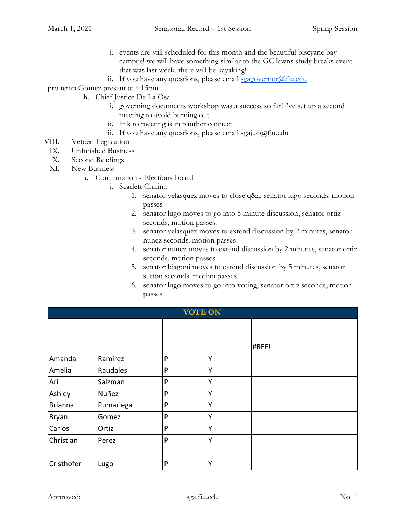- i. events are still scheduled for this month and the beautiful biscyane bay campus! we will have something similar to the GC lawns study breaks event that was last week. there will be kayaking!
- ii. If you have any questions, please email [sgagovernor@fiu.edu](mailto:sgagovernor@fiu.edu)
- pro temp Gomez present at 4:15pm
	- h. Chief Justice De La Osa
		- i. governing documents workshop was a success so far! i've set up a second meeting to avoid burning out
		- ii. link to meeting is in panther connect
		- iii. If you have any questions, please email sgajud@fiu.edu
- VIII. Vetoed Legislation
	- IX. Unfinished Business
	- X. Second Readings
	- XI. New Business
		- a. Confirmation Elections Board
			- i. Scarlett Chirino
				- 1. senator velasquez moves to close q&a. senator lugo seconds. motion passes
				- 2. senator lugo moves to go into 5 minute discussion, senator ortiz seconds, motion passes.
				- 3. senator velasquez moves to extend discussion by 2 minutes, senator nunez seconds. motion passes
				- 4. senator nunez moves to extend discussion by 2 minutes, senator ortiz seconds. motion passes
				- 5. senator biagoni moves to extend discussion by 5 minutes, senator sutton seconds. motion passes
				- 6. senator lugo moves to go into voting, senator ortiz seconds, motion passes

| <b>VOTE ON</b> |           |   |              |       |  |
|----------------|-----------|---|--------------|-------|--|
|                |           |   |              |       |  |
|                |           |   |              |       |  |
|                |           |   |              | #REF! |  |
| Amanda         | Ramirez   | P | Y            |       |  |
| Amelia         | Raudales  | P | v            |       |  |
| Ari            | Salzman   | P | Υ            |       |  |
| Ashley         | Nuñez     | P | Y            |       |  |
| <b>Brianna</b> | Pumariega | P | $\checkmark$ |       |  |
| Bryan          | Gomez     | P | Y            |       |  |
| Carlos         | Ortiz     | P | Y            |       |  |
| Christian      | Perez     | P | Y            |       |  |
|                |           |   |              |       |  |
| Cristhofer     | Lugo      | P | Y            |       |  |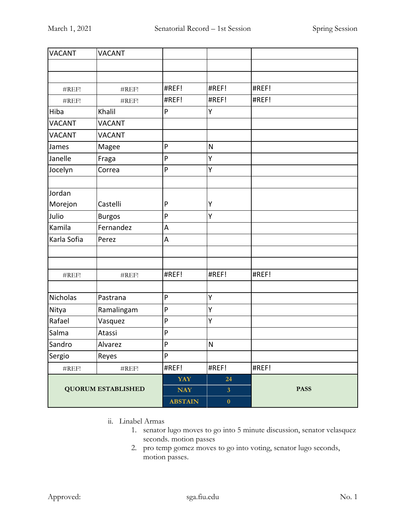| <b>VACANT</b>             | <b>VACANT</b>     |                |                  |             |
|---------------------------|-------------------|----------------|------------------|-------------|
|                           |                   |                |                  |             |
|                           |                   |                |                  |             |
| #REF!                     | #REF!             | #REF!          | #REF!            | #REF!       |
| #REF!                     | #REF!             | #REF!          | #REF!            | #REF!       |
| Hiba                      | Khalil            | ${\sf P}$      | Υ                |             |
| <b>VACANT</b>             | <b>VACANT</b>     |                |                  |             |
| <b>VACANT</b>             | <b>VACANT</b>     |                |                  |             |
| James                     | Magee             | P              | $\mathsf{N}$     |             |
| Janelle                   | Fraga             | P              | Υ                |             |
| Jocelyn                   | Correa            | P              | Υ                |             |
|                           |                   |                |                  |             |
| Jordan                    |                   |                |                  |             |
| Morejon                   | Castelli          | P              | Υ                |             |
| Julio                     | <b>Burgos</b>     | $\mathsf{P}$   | Υ                |             |
| Kamila                    | Fernandez         | A              |                  |             |
| Karla Sofia               | Perez             | A              |                  |             |
|                           |                   |                |                  |             |
|                           |                   |                |                  |             |
| #REF!                     | #REF!             | #REF!          | #REF!            | #REF!       |
|                           |                   |                |                  |             |
| Nicholas                  | Pastrana          | P              | Υ                |             |
| Nitya                     | Ramalingam        | $\mathsf{P}$   | Υ                |             |
| Rafael                    | Vasquez           | P              | Y                |             |
| Salma                     | Atassi            | ${\sf P}$      |                  |             |
| Sandro                    | Alvarez           | $\mathsf{P}$   | ${\sf N}$        |             |
| Sergio                    | Reyes             | $\mathsf{P}$   |                  |             |
| $\#\mathrm{REF}!$         | $\#\mathrm{REF}!$ | #REF!          | #REF!            | #REF!       |
| <b>QUORUM ESTABLISHED</b> |                   | <b>YAY</b>     | 24               |             |
|                           |                   | <b>NAY</b>     | 3 <sup>1</sup>   | <b>PASS</b> |
|                           |                   | <b>ABSTAIN</b> | $\boldsymbol{0}$ |             |

- ii. Linabel Armas
	- 1. senator lugo moves to go into 5 minute discussion, senator velasquez seconds. motion passes
	- 2. pro temp gomez moves to go into voting, senator lugo seconds, motion passes.